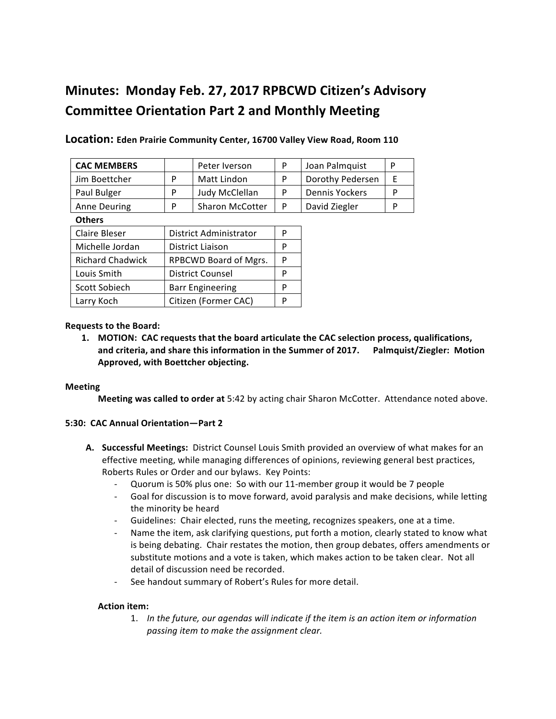# **Minutes: Monday Feb. 27, 2017 RPBCWD Citizen's Advisory Committee Orientation Part 2 and Monthly Meeting**

| <b>CAC MEMBERS</b>      |                         | Peter Iverson          | P | Joan Palmquist        | P |
|-------------------------|-------------------------|------------------------|---|-----------------------|---|
| Jim Boettcher           | P                       | Matt Lindon            | P | Dorothy Pedersen      | F |
| Paul Bulger             | P                       | Judy McClellan         | P | <b>Dennis Yockers</b> | P |
| <b>Anne Deuring</b>     | P                       | <b>Sharon McCotter</b> | P | David Ziegler         | P |
| <b>Others</b>           |                         |                        |   |                       |   |
| Claire Bleser           | District Administrator  |                        | P |                       |   |
| Michelle Jordan         | District Liaison        |                        | P |                       |   |
| <b>Richard Chadwick</b> | RPBCWD Board of Mgrs.   |                        | P |                       |   |
| Louis Smith             | <b>District Counsel</b> |                        | P |                       |   |
| Scott Sobiech           | <b>Barr Engineering</b> |                        | P |                       |   |
| Larry Koch              | Citizen (Former CAC)    |                        | P |                       |   |

Location: Eden Prairie Community Center, 16700 Valley View Road, Room 110

## **Requests to the Board:**

**1. MOTION: CAC requests that the board articulate the CAC selection process, qualifications,** and criteria, and share this information in the Summer of 2017. Palmquist/Ziegler: Motion Approved, with Boettcher objecting.

#### **Meeting**

**Meeting was called to order at** 5:42 by acting chair Sharon McCotter. Attendance noted above.

#### **5:30: CAC Annual Orientation—Part 2**

- A. Successful Meetings: District Counsel Louis Smith provided an overview of what makes for an effective meeting, while managing differences of opinions, reviewing general best practices, Roberts Rules or Order and our bylaws. Key Points:
	- Quorum is 50% plus one: So with our 11-member group it would be 7 people
	- Goal for discussion is to move forward, avoid paralysis and make decisions, while letting the minority be heard
	- Guidelines: Chair elected, runs the meeting, recognizes speakers, one at a time.
	- Name the item, ask clarifying questions, put forth a motion, clearly stated to know what is being debating. Chair restates the motion, then group debates, offers amendments or substitute motions and a vote is taken, which makes action to be taken clear. Not all detail of discussion need be recorded.
	- See handout summary of Robert's Rules for more detail.

# **Action item:**

1. In the future, our agendas will indicate if the item is an action item or information passing item to make the assignment clear.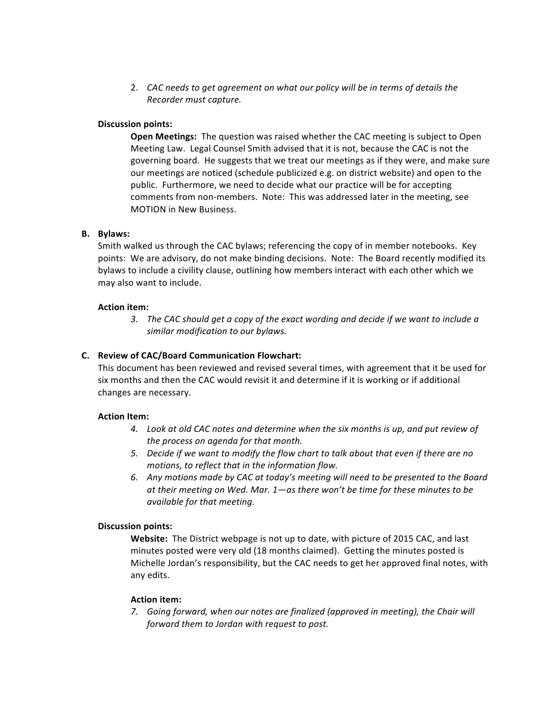2. CAC needs to get agreement on what our policy will be in terms of details the *Recorder must capture.*

## **Discussion points:**

**Open Meetings:** The question was raised whether the CAC meeting is subject to Open Meeting Law. Legal Counsel Smith advised that it is not, because the CAC is not the governing board. He suggests that we treat our meetings as if they were, and make sure our meetings are noticed (schedule publicized e.g. on district website) and open to the public. Furthermore, we need to decide what our practice will be for accepting comments from non-members. Note: This was addressed later in the meeting, see MOTION in New Business.

## **B.** Bylaws:

Smith walked us through the CAC bylaws; referencing the copy of in member notebooks. Key points: We are advisory, do not make binding decisions. Note: The Board recently modified its bylaws to include a civility clause, outlining how members interact with each other which we may also want to include.

## **Action item:**

3. The CAC should get a copy of the exact wording and decide if we want to include a similar modification to our bylaws.

## **C.** Review of CAC/Board Communication Flowchart:

This document has been reviewed and revised several times, with agreement that it be used for six months and then the CAC would revisit it and determine if it is working or if additional changes are necessary.

#### **Action Item:**

- 4. Look at old CAC notes and determine when the six months is up, and put review of *the process on agenda for that month.*
- 5. Decide if we want to modify the flow chart to talk about that even if there are no *motions, to reflect that in the information flow.*
- 6. Any motions made by CAC at today's meeting will need to be presented to the Board at their meeting on Wed. Mar. 1—as there won't be time for these minutes to be *available for that meeting.*

#### **Discussion points:**

**Website:** The District webpage is not up to date, with picture of 2015 CAC, and last minutes posted were very old (18 months claimed). Getting the minutes posted is Michelle Jordan's responsibility, but the CAC needs to get her approved final notes, with any edits.

#### **Action item:**

7. Going forward, when our notes are finalized (approved in meeting), the Chair will *forward them to Jordan with request to post.*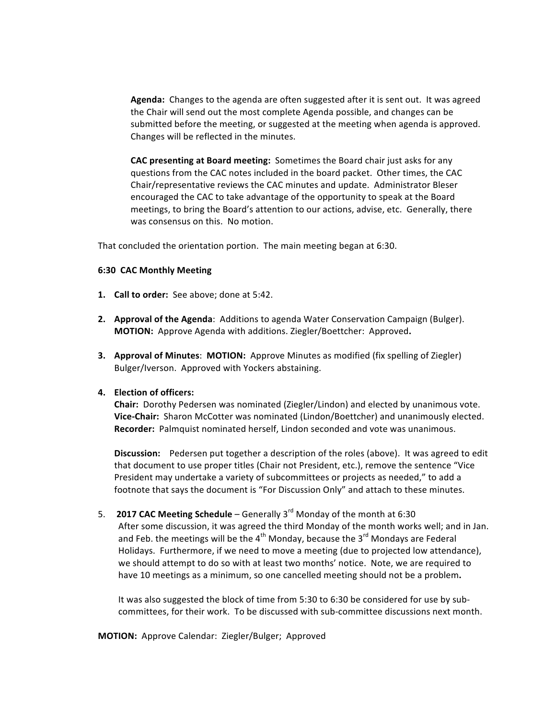Agenda: Changes to the agenda are often suggested after it is sent out. It was agreed the Chair will send out the most complete Agenda possible, and changes can be submitted before the meeting, or suggested at the meeting when agenda is approved. Changes will be reflected in the minutes.

**CAC presenting at Board meeting:** Sometimes the Board chair just asks for any questions from the CAC notes included in the board packet. Other times, the CAC Chair/representative reviews the CAC minutes and update. Administrator Bleser encouraged the CAC to take advantage of the opportunity to speak at the Board meetings, to bring the Board's attention to our actions, advise, etc. Generally, there was consensus on this. No motion.

That concluded the orientation portion. The main meeting began at 6:30.

#### **6:30 CAC Monthly Meeting**

- **1. Call to order:** See above; done at 5:42.
- **2. Approval of the Agenda**: Additions to agenda Water Conservation Campaign (Bulger). **MOTION:** Approve Agenda with additions. Ziegler/Boettcher: Approved.
- **3. Approval of Minutes: MOTION:** Approve Minutes as modified (fix spelling of Ziegler) Bulger/Iverson. Approved with Yockers abstaining.

## **4. Election of officers:**

**Chair:** Dorothy Pedersen was nominated (Ziegler/Lindon) and elected by unanimous vote. **Vice-Chair:** Sharon McCotter was nominated (Lindon/Boettcher) and unanimously elected. **Recorder:** Palmquist nominated herself, Lindon seconded and vote was unanimous.

**Discussion:** Pedersen put together a description of the roles (above). It was agreed to edit that document to use proper titles (Chair not President, etc.), remove the sentence "Vice President may undertake a variety of subcommittees or projects as needed," to add a footnote that says the document is "For Discussion Only" and attach to these minutes.

5. **2017 CAC Meeting Schedule** – Generally  $3^{rd}$  Monday of the month at 6:30

After some discussion, it was agreed the third Monday of the month works well; and in Jan. and Feb. the meetings will be the  $4^{th}$  Monday, because the  $3^{rd}$  Mondays are Federal Holidays. Furthermore, if we need to move a meeting (due to projected low attendance), we should attempt to do so with at least two months' notice. Note, we are required to have 10 meetings as a minimum, so one cancelled meeting should not be a problem.

It was also suggested the block of time from  $5:30$  to  $6:30$  be considered for use by subcommittees, for their work. To be discussed with sub-committee discussions next month.

**MOTION:** Approve Calendar: Ziegler/Bulger; Approved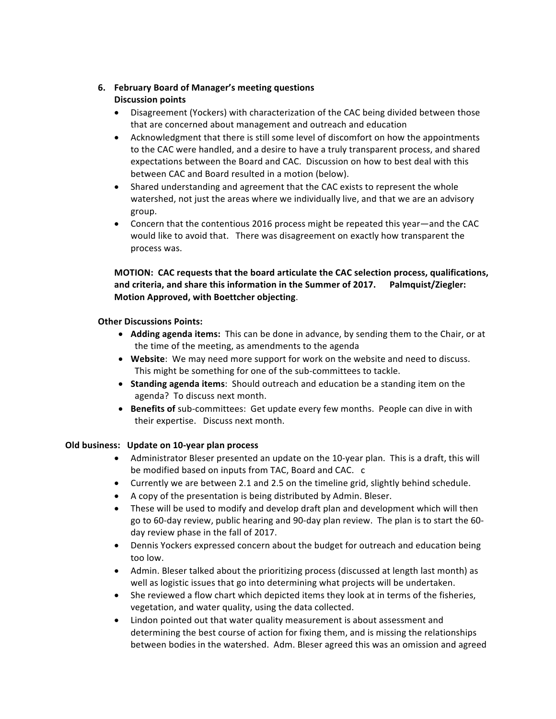# **6. February Board of Manager's meeting questions Discussion points**

- Disagreement (Yockers) with characterization of the CAC being divided between those that are concerned about management and outreach and education
- Acknowledgment that there is still some level of discomfort on how the appointments to the CAC were handled, and a desire to have a truly transparent process, and shared expectations between the Board and CAC. Discussion on how to best deal with this between CAC and Board resulted in a motion (below).
- Shared understanding and agreement that the CAC exists to represent the whole watershed, not just the areas where we individually live, and that we are an advisory group.
- Concern that the contentious 2016 process might be repeated this year—and the CAC would like to avoid that. There was disagreement on exactly how transparent the process was.

# **MOTION: CAC requests that the board articulate the CAC selection process, qualifications,** and criteria, and share this information in the Summer of 2017. Palmquist/Ziegler: **Motion Approved, with Boettcher objecting.**

# **Other Discussions Points:**

- Adding agenda items: This can be done in advance, by sending them to the Chair, or at the time of the meeting, as amendments to the agenda
- Website: We may need more support for work on the website and need to discuss. This might be something for one of the sub-committees to tackle.
- **Standing agenda items**: Should outreach and education be a standing item on the agenda? To discuss next month.
- Benefits of sub-committees: Get update every few months. People can dive in with their expertise. Discuss next month.

# **Old business:** Update on 10-year plan process

- Administrator Bleser presented an update on the 10-year plan. This is a draft, this will be modified based on inputs from TAC, Board and CAC. c
- Currently we are between 2.1 and 2.5 on the timeline grid, slightly behind schedule.
- A copy of the presentation is being distributed by Admin. Bleser.
- These will be used to modify and develop draft plan and development which will then go to 60-day review, public hearing and 90-day plan review. The plan is to start the 60day review phase in the fall of 2017.
- Dennis Yockers expressed concern about the budget for outreach and education being too low.
- Admin. Bleser talked about the prioritizing process (discussed at length last month) as well as logistic issues that go into determining what projects will be undertaken.
- She reviewed a flow chart which depicted items they look at in terms of the fisheries, vegetation, and water quality, using the data collected.
- Lindon pointed out that water quality measurement is about assessment and determining the best course of action for fixing them, and is missing the relationships between bodies in the watershed. Adm. Bleser agreed this was an omission and agreed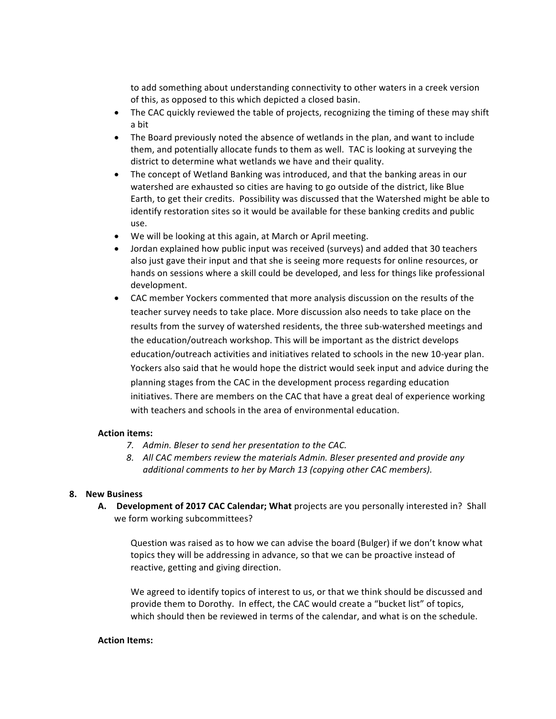to add something about understanding connectivity to other waters in a creek version of this, as opposed to this which depicted a closed basin.

- The CAC quickly reviewed the table of projects, recognizing the timing of these may shift a bit
- The Board previously noted the absence of wetlands in the plan, and want to include them, and potentially allocate funds to them as well. TAC is looking at surveying the district to determine what wetlands we have and their quality.
- The concept of Wetland Banking was introduced, and that the banking areas in our watershed are exhausted so cities are having to go outside of the district, like Blue Earth, to get their credits. Possibility was discussed that the Watershed might be able to identify restoration sites so it would be available for these banking credits and public use.
- We will be looking at this again, at March or April meeting.
- Jordan explained how public input was received (surveys) and added that 30 teachers also just gave their input and that she is seeing more requests for online resources, or hands on sessions where a skill could be developed, and less for things like professional development.
- CAC member Yockers commented that more analysis discussion on the results of the teacher survey needs to take place. More discussion also needs to take place on the results from the survey of watershed residents, the three sub-watershed meetings and the education/outreach workshop. This will be important as the district develops education/outreach activities and initiatives related to schools in the new 10-year plan. Yockers also said that he would hope the district would seek input and advice during the planning stages from the CAC in the development process regarding education initiatives. There are members on the CAC that have a great deal of experience working with teachers and schools in the area of environmental education.

#### **Action items:**

- *7.* Admin. Bleser to send her presentation to the CAC.
- 8. All CAC members review the materials Admin. Bleser presented and provide any *additional comments to her by March 13 (copying other CAC members).*

#### **8. New Business**

A. Development of 2017 CAC Calendar; What projects are you personally interested in? Shall we form working subcommittees?

Question was raised as to how we can advise the board (Bulger) if we don't know what topics they will be addressing in advance, so that we can be proactive instead of reactive, getting and giving direction.

We agreed to identify topics of interest to us, or that we think should be discussed and provide them to Dorothy. In effect, the CAC would create a "bucket list" of topics, which should then be reviewed in terms of the calendar, and what is on the schedule.

#### **Action Items:**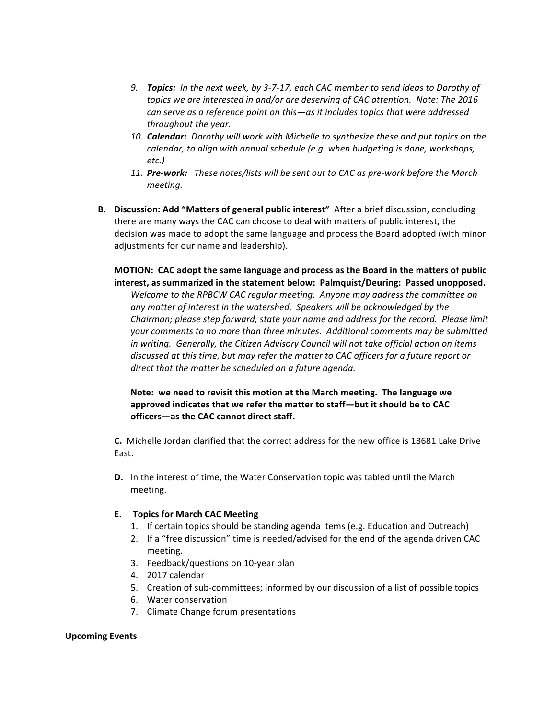- 9. **Topics:** In the next week, by 3-7-17, each CAC member to send ideas to Dorothy of topics we are interested in and/or are deserving of CAC attention. Note: The 2016 *can* serve as a reference point on this—as it includes topics that were addressed throughout the year.
- 10. **Calendar:** Dorothy will work with Michelle to synthesize these and put topics on the *calendar, to align with annual schedule (e.g. when budgeting is done, workshops, etc.)*
- 11. **Pre-work:** These notes/lists will be sent out to CAC as pre-work before the March *meeting.*
- **B.** Discussion: Add "Matters of general public interest" After a brief discussion, concluding there are many ways the CAC can choose to deal with matters of public interest, the decision was made to adopt the same language and process the Board adopted (with minor adjustments for our name and leadership).

**MOTION: CAC adopt the same language and process as the Board in the matters of public** interest, as summarized in the statement below: Palmquist/Deuring: Passed unopposed.

Welcome to the RPBCW CAC regular meeting. Anyone may address the committee on any matter of interest in the watershed. Speakers will be acknowledged by the Chairman; please step forward, state your name and address for the record. Please limit your comments to no more than three minutes. Additional comments may be submitted *in* writing. Generally, the Citizen Advisory Council will not take official action on items discussed at this time, but may refer the matter to CAC officers for a future report or *direct that the matter be scheduled on a future agenda.* 

**Note:** we need to revisit this motion at the March meeting. The language we approved indicates that we refer the matter to staff-but it should be to CAC officers-as the CAC cannot direct staff.

**C.** Michelle Jordan clarified that the correct address for the new office is 18681 Lake Drive East. 

**D.** In the interest of time, the Water Conservation topic was tabled until the March meeting. 

# **E. Topics for March CAC Meeting**

- 1. If certain topics should be standing agenda items (e.g. Education and Outreach)
- 2. If a "free discussion" time is needed/advised for the end of the agenda driven CAC meeting.
- 3. Feedback/questions on 10-year plan
- 4. 2017 calendar
- 5. Creation of sub-committees; informed by our discussion of a list of possible topics
- 6. Water conservation
- 7. Climate Change forum presentations

# **Upcoming Events**